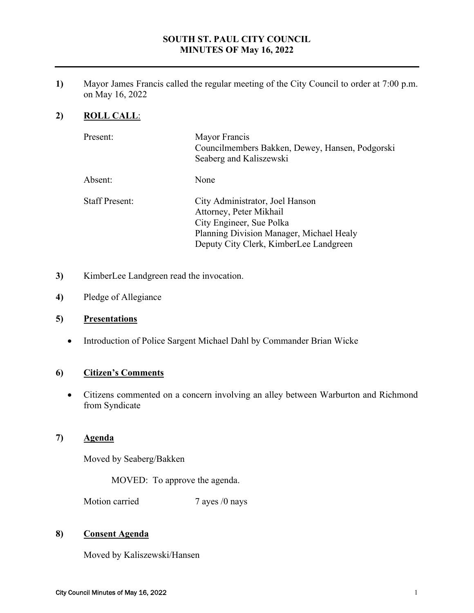#### **SOUTH ST. PAUL CITY COUNCIL MINUTES OF May 16, 2022**

**1)** Mayor James Francis called the regular meeting of the City Council to order at 7:00 p.m. on May 16, 2022

# **2) ROLL CALL**:

| Present:              | Mayor Francis<br>Councilmembers Bakken, Dewey, Hansen, Podgorski<br>Seaberg and Kaliszewski                                                                                  |
|-----------------------|------------------------------------------------------------------------------------------------------------------------------------------------------------------------------|
| Absent:               | None                                                                                                                                                                         |
| <b>Staff Present:</b> | City Administrator, Joel Hanson<br>Attorney, Peter Mikhail<br>City Engineer, Sue Polka<br>Planning Division Manager, Michael Healy<br>Deputy City Clerk, KimberLee Landgreen |

- **3)** KimberLee Landgreen read the invocation.
- **4)** Pledge of Allegiance

#### **5) Presentations**

Introduction of Police Sargent Michael Dahl by Commander Brian Wicke

# **6) Citizen's Comments**

 Citizens commented on a concern involving an alley between Warburton and Richmond from Syndicate

#### **7) Agenda**

Moved by Seaberg/Bakken

MOVED: To approve the agenda.

Motion carried 7 ayes /0 nays

#### **8) Consent Agenda**

Moved by Kaliszewski/Hansen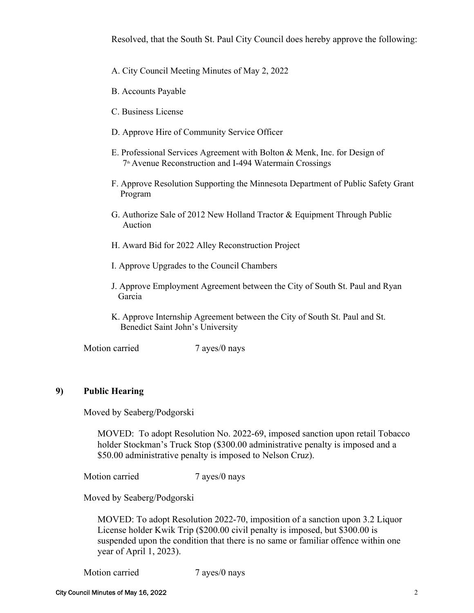Resolved, that the South St. Paul City Council does hereby approve the following:

- A. City Council Meeting Minutes of May 2, 2022
- B. Accounts Payable
- C. Business License
- D. Approve Hire of Community Service Officer
- E. Professional Services Agreement with Bolton & Menk, Inc. for Design of 7<sup>th</sup> Avenue Reconstruction and I-494 Watermain Crossings
- F. Approve Resolution Supporting the Minnesota Department of Public Safety Grant Program
- G. Authorize Sale of 2012 New Holland Tractor & Equipment Through Public Auction
- H. Award Bid for 2022 Alley Reconstruction Project
- I. Approve Upgrades to the Council Chambers
- J. Approve Employment Agreement between the City of South St. Paul and Ryan Garcia
- K. Approve Internship Agreement between the City of South St. Paul and St. Benedict Saint John's University

Motion carried 7 ayes/0 nays

#### **9) Public Hearing**

Moved by Seaberg/Podgorski

MOVED: To adopt Resolution No. 2022-69, imposed sanction upon retail Tobacco holder Stockman's Truck Stop (\$300.00 administrative penalty is imposed and a \$50.00 administrative penalty is imposed to Nelson Cruz).

Motion carried 7 ayes/0 nays

Moved by Seaberg/Podgorski

 MOVED: To adopt Resolution 2022-70, imposition of a sanction upon 3.2 Liquor License holder Kwik Trip (\$200.00 civil penalty is imposed, but \$300.00 is suspended upon the condition that there is no same or familiar offence within one year of April 1, 2023).

Motion carried 7 ayes/0 nays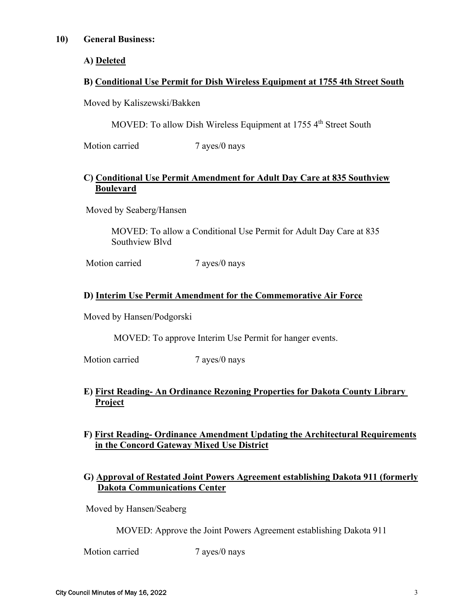#### **10) General Business:**

**A) Deleted** 

# **B) Conditional Use Permit for Dish Wireless Equipment at 1755 4th Street South**

Moved by Kaliszewski/Bakken

MOVED: To allow Dish Wireless Equipment at 1755 4<sup>th</sup> Street South

Motion carried 7 ayes/0 nays

# **C) Conditional Use Permit Amendment for Adult Day Care at 835 Southview Boulevard**

Moved by Seaberg/Hansen

 MOVED: To allow a Conditional Use Permit for Adult Day Care at 835 Southview Blvd

Motion carried 7 ayes/0 nays

# **D) Interim Use Permit Amendment for the Commemorative Air Force**

Moved by Hansen/Podgorski

MOVED: To approve Interim Use Permit for hanger events.

Motion carried 7 ayes/0 nays

# **E) First Reading- An Ordinance Rezoning Properties for Dakota County Library Project**

# **F) First Reading- Ordinance Amendment Updating the Architectural Requirements in the Concord Gateway Mixed Use District**

# **G) Approval of Restated Joint Powers Agreement establishing Dakota 911 (formerly Dakota Communications Center**

Moved by Hansen/Seaberg

MOVED: Approve the Joint Powers Agreement establishing Dakota 911

Motion carried 7 ayes/0 nays